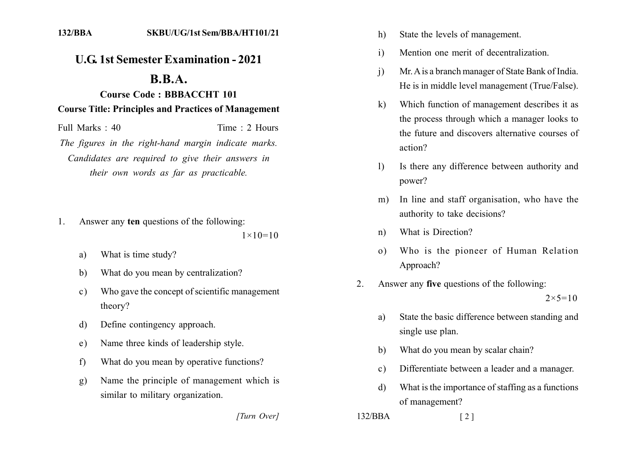## **U.G. 1st Semester Examination - 2021**

## $\mathbf{R} \cdot \mathbf{R} \cdot \mathbf{A}$ .

## **Course Code: BBBACCHT 101 Course Title: Principles and Practices of Management**

Full Marks: 40 Time: 2 Hours

The figures in the right-hand margin indicate marks. Candidates are required to give their answers in their own words as far as practicable.

Answer any ten questions of the following:  $\mathbf{1}$ 

 $1 \times 10 = 10$ 

- What is time study? a)
- What do you mean by centralization?  $b)$
- Who gave the concept of scientific management  $c)$ theory?
- Define contingency approach. d)
- Name three kinds of leadership style.  $e)$
- What do you mean by operative functions?  $f$
- Name the principle of management which is  $g$ ) similar to military organization.

[Turn Over]

- State the levels of management.  $h)$
- Mention one merit of decentralization  $\mathbf{i}$
- Mr. A is a branch manager of State Bank of India.  $\mathbf{i}$ He is in middle level management (True/False).
- Which function of management describes it as  $\bf k$ the process through which a manager looks to the future and discovers alternative courses of action?
- Is there any difference between authority and  $\left| \right\rangle$ power?
- In line and staff organisation, who have the  $m)$ authority to take decisions?
- What is Direction?  $n)$
- Who is the pioneer of Human Relation  $\Omega$ ) Approach?
- Answer any five questions of the following:  $\mathfrak{D}$

 $2 \times 5 = 10$ 

- State the basic difference between standing and a) single use plan.
- What do you mean by scalar chain? b)
- Differentiate between a leader and a manager.  $c)$
- What is the importance of staffing as a functions  $\mathbf{d}$ of management?

 $\lceil 2 \rceil$ 

 $132/BBA$